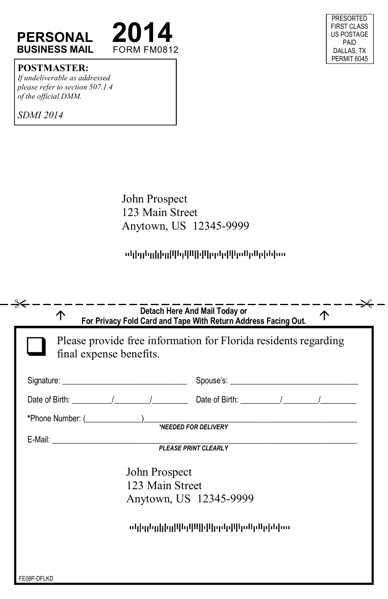

#### PRESORTED FIRST CLASS US POSTAGE PAID DALLAS, TX PERMIT 6045

### **POSTMASTER:**

*If undeliverable as addressed please refer to section 507.1.4 of the official DMM.* 

*SDMI 2014* 

John Prospect 123 Main Street Anytown, US 12345-9999

## ակեղեցիկեցիկեցիկիկեցերիկեցիկեցին (ա.

| final expense benefits. | Please provide free information for Florida residents regarding |
|-------------------------|-----------------------------------------------------------------|
|                         |                                                                 |
|                         |                                                                 |
|                         | *Phone Number: ( <u> EDED FOR DELIVERY</u>                      |
|                         |                                                                 |
| John Prospect           |                                                                 |
| 123 Main Street         |                                                                 |
|                         | Anytown, US 12345-9999                                          |
|                         | ոկիցնցիից[կել կկ կիկել կելն կել կկ                              |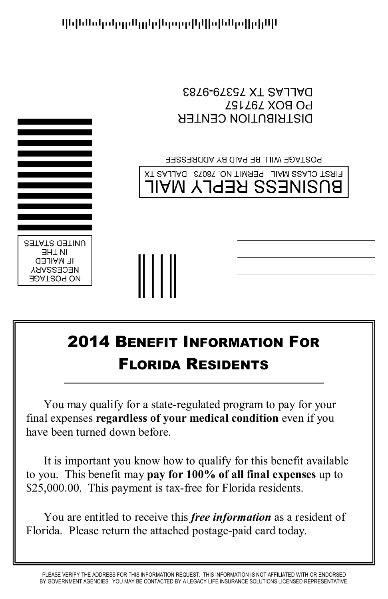

կելենսկակցրայրիկորդորիկիսիներվիլիկն

## 2014 BENEFIT INFORMATION FOR FLORIDA RESIDENTS

You may qualify for a state-regulated program to pay for your final expenses **regardless of your medical condition** even if you have been turned down before.

It is important you know how to qualify for this benefit available to you. This benefit may **pay for 100% of all final expenses** up to \$25,000.00. This payment is tax-free for Florida residents.

You are entitled to receive this *free information* as a resident of Florida. Please return the attached postage-paid card today.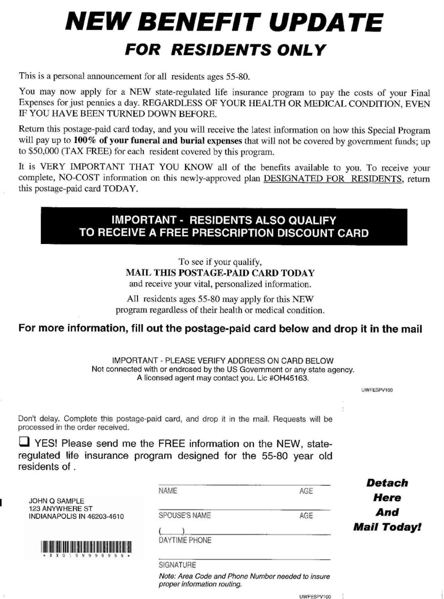# *NEW BENEFIT UPDATE* **FOR RESIDENTS ONLY**

This is a personal announcement for all residents ages 55-80.

You may now apply for a NEW state-regulated life insurance program to pay the costs of your Final Expenses for just pennies a day. REGARDLESS OF YOUR HEALTH OR MEDICAL CONDITION, EVEN IF YOU HAVE BEEN TURNED DOWN BEFORE.

Return this postage-paid card today, and you will receive the latest information on how this Special Program will pay up to 100% of your funeral and burial expenses that will not be covered by government funds; up to \$50,000 (TAX FREE) for each resident covered by this program.

It is VERY IMPORTANT THAT YOU KNOW all of the benefits available to you. To receive your complete, NO-COST information on this newly-approved plan DESIGNATED FOR RESIDENTS, return this postage-paid card TODAY.

## **IMPORTANT - RESIDENTS ALSO QUALIFY** TO RECEIVE A FREE PRESCRIPTION DISCOUNT CARD

To see if your qualify, **MAIL THIS POSTAGE-PAID CARD TODAY** 

and receive your vital, personalized information.

All residents ages 55-80 may apply for this NEW program regardless of their health or medical condition.

## For more information, fill out the postage-paid card below and drop it in the mail

IMPORTANT - PLEASE VERIFY ADDRESS ON CARD BELOW Not connected with or endrosed by the US Government or any state agency. A licensed agent may contact you. Lic #OH45163.

UWFESPV100

Don't delay. Complete this postage-paid card, and drop it in the mail. Requests will be processed in the order received.

 $\Box$  YES! Please send me the FREE information on the NEW, stateregulated life insurance program designed for the 55-80 year old residents of.

|                                                                                             | <b>NAME</b>   | AGE | Detach             |
|---------------------------------------------------------------------------------------------|---------------|-----|--------------------|
| <b>JOHN Q SAMPLE</b>                                                                        |               |     | <b>Here</b>        |
| <b>123 ANYWHERE ST</b><br>INDIANAPOLIS IN 46203-4610                                        | SPOUSE'S NAME | AGE | And                |
|                                                                                             |               |     | <b>Mail Today!</b> |
| <b>HILLER ROOM AND BELLEVILLE BELLEVILLE</b><br><b>THE SERVICE</b><br>99999999<br>$*$ X X O | DAYTIME PHONE |     |                    |

**SIGNATURE** 

Note: Area Code and Phone Number needed to insure proper information routing.

UWFESPV100